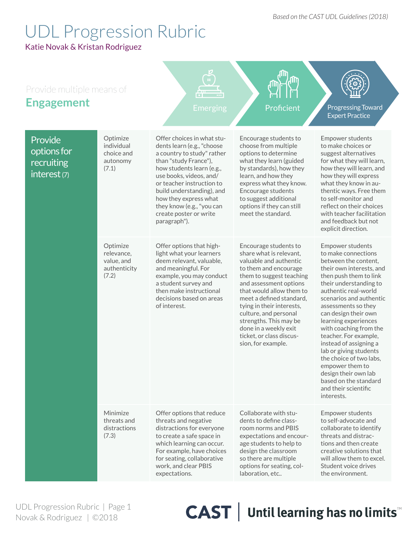# UDL Progression Rubric

Katie Novak & Kristan Rodriguez

| Provide multiple means of<br><b>Engagement</b>      |                                                               | <b>Emerging</b>                                                                                                                                                                                                                                                                                                                   | Proficient                                                                                                                                                                                                                                                                                                                                                                   | <b>Progressing Toward</b><br><b>Expert Practice</b>                                                                                                                                                                                                                                                                                                                                                                                                                                                                          |
|-----------------------------------------------------|---------------------------------------------------------------|-----------------------------------------------------------------------------------------------------------------------------------------------------------------------------------------------------------------------------------------------------------------------------------------------------------------------------------|------------------------------------------------------------------------------------------------------------------------------------------------------------------------------------------------------------------------------------------------------------------------------------------------------------------------------------------------------------------------------|------------------------------------------------------------------------------------------------------------------------------------------------------------------------------------------------------------------------------------------------------------------------------------------------------------------------------------------------------------------------------------------------------------------------------------------------------------------------------------------------------------------------------|
| Provide<br>options for<br>recruiting<br>interest(7) | Optimize<br>individual<br>choice and<br>autonomy<br>(7.1)     | Offer choices in what stu-<br>dents learn (e.g., "choose<br>a country to study" rather<br>than "study France"),<br>how students learn (e.g.,<br>use books, videos, and/<br>or teacher instruction to<br>build understanding), and<br>how they express what<br>they know (e.g., "you can<br>create poster or write<br>paragraph"). | Encourage students to<br>choose from multiple<br>options to determine<br>what they learn (guided<br>by standards), how they<br>learn, and how they<br>express what they know.<br>Encourage students<br>to suggest additional<br>options if they can still<br>meet the standard.                                                                                              | Empower students<br>to make choices or<br>suggest alternatives<br>for what they will learn,<br>how they will learn, and<br>how they will express<br>what they know in au-<br>thentic ways. Free them<br>to self-monitor and<br>reflect on their choices<br>with teacher facilitation<br>and feedback but not<br>explicit direction.                                                                                                                                                                                          |
|                                                     | Optimize<br>relevance,<br>value, and<br>authenticity<br>(7.2) | Offer options that high-<br>light what your learners<br>deem relevant, valuable,<br>and meaningful. For<br>example, you may conduct<br>a student survey and<br>then make instructional<br>decisions based on areas<br>of interest.                                                                                                | Encourage students to<br>share what is relevant.<br>valuable and authentic<br>to them and encourage<br>them to suggest teaching<br>and assessment options<br>that would allow them to<br>meet a defined standard,<br>tying in their interests,<br>culture, and personal<br>strengths. This may be<br>done in a weekly exit<br>ticket, or class discus-<br>sion, for example. | <b>Empower students</b><br>to make connections<br>between the content,<br>their own interests, and<br>then push them to link<br>their understanding to<br>authentic real-world<br>scenarios and authentic<br>assessments so they<br>can design their own<br>learning experiences<br>with coaching from the<br>teacher. For example,<br>instead of assigning a<br>lab or giving students<br>the choice of two labs,<br>empower them to<br>design their own lab<br>based on the standard<br>and their scientific<br>interests. |
|                                                     | Minimize<br>threats and<br>distractions<br>(7.3)              | Offer options that reduce<br>threats and negative<br>distractions for everyone<br>to create a safe space in<br>which learning can occur.<br>For example, have choices<br>for seating, collaborative<br>work, and clear PBIS<br>expectations.                                                                                      | Collaborate with stu-<br>dents to define class-<br>room norms and PBIS<br>expectations and encour-<br>age students to help to<br>design the classroom<br>so there are multiple<br>options for seating, col-<br>laboration, etc                                                                                                                                               | <b>Empower students</b><br>to self-advocate and<br>collaborate to identify<br>threats and distrac-<br>tions and then create<br>creative solutions that<br>will allow them to excel.<br>Student voice drives<br>the environment.                                                                                                                                                                                                                                                                                              |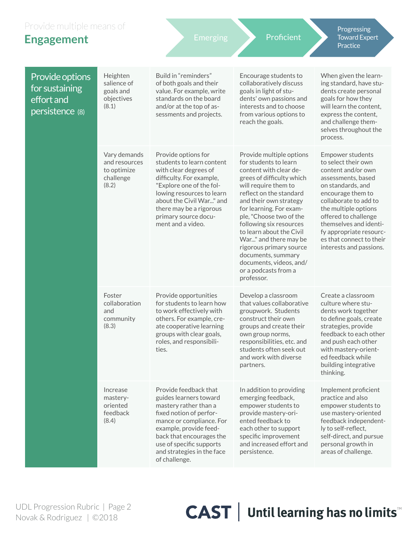#### Provide options for sustaining effort and persistence (8) Heighten salience of goals and objectives (8.1) Build in "reminders" of both goals and their value. For example, write standards on the board and/or at the top of assessments and projects. Encourage students to collaboratively discuss goals in light of students' own passions and interests and to choose from various options to reach the goals. When given the learning standard, have students create personal goals for how they will learn the content, express the content, and challenge themselves throughout the process. Vary demands and resources to optimize challenge (8.2) Provide options for students to learn content with clear degrees of difficulty. For example, "Explore one of the following resources to learn about the Civil War..." and there may be a rigorous primary source document and a video. Provide multiple options for students to learn content with clear degrees of difficulty which will require them to reflect on the standard and their own strategy for learning. For example, "Choose two of the following six resources to learn about the Civil War..." and there may be rigorous primary source documents, summary documents, videos, and/ or a podcasts from a professor. Empower students to select their own content and/or own assessments, based on standards, and encourage them to collaborate to add to the multiple options offered to challenge themselves and identify appropriate resources that connect to their interests and passions. Foster collaboration and community (8.3) Provide opportunities for students to learn how to work effectively with others. For example, create cooperative learning groups with clear goals, roles, and responsibilities. Develop a classroom that values collaborative groupwork. Students construct their own groups and create their own group norms, responsibilities, etc. and students often seek out and work with diverse partners. Create a classroom culture where students work together to define goals, create strategies, provide feedback to each other and push each other with mastery-oriented feedback while building integrative thinking. Increase masteryoriented feedback (8.4) Provide feedback that guides learners toward mastery rather than a fixed notion of performance or compliance. For example, provide feedback that encourages the use of specific supports and strategies in the face of challenge. In addition to providing emerging feedback, empower students to provide mastery-oriented feedback to each other to support specific improvement and increased effort and persistence. Implement proficient practice and also empower students to use mastery-oriented feedback independently to self-reflect, self-direct, and pursue personal growth in areas of challenge. Provide multiple means of **Engagement** Emerging Proficient Progressing Toward Expert **Practice**

### **Until learning has no limits<sup>®</sup>**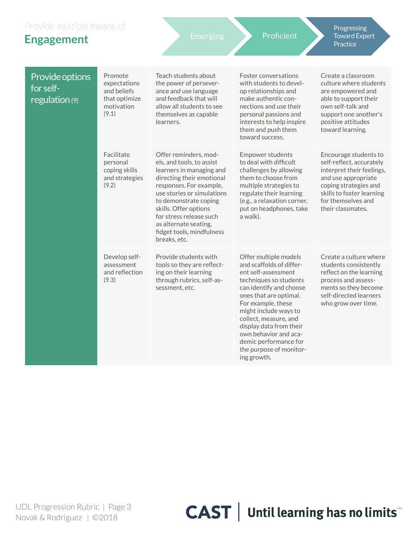#### Provide multiple means of

### Engagement Emerging Proficient

**Progressing** Toward Expert Practice

| Provide options<br>for self-<br>regulation (9) | Promote<br>expectations<br>and beliefs<br>that optimize<br>motivation<br>(9.1) | Teach students about<br>the power of persever-<br>ance and use language<br>and feedback that will<br>allow all students to see<br>themselves as capable<br>learners.                                                                                                                                                    | Foster conversations<br>with students to devel-<br>op relationships and<br>make authentic con-<br>nections and use their<br>personal passions and<br>interests to help inspire<br>them and push them<br>toward success.                                                                                                                                | Create a classroom<br>culture where students<br>are empowered and<br>able to support their<br>own self-talk and<br>support one another's<br>positive attitudes<br>toward learning.                     |
|------------------------------------------------|--------------------------------------------------------------------------------|-------------------------------------------------------------------------------------------------------------------------------------------------------------------------------------------------------------------------------------------------------------------------------------------------------------------------|--------------------------------------------------------------------------------------------------------------------------------------------------------------------------------------------------------------------------------------------------------------------------------------------------------------------------------------------------------|--------------------------------------------------------------------------------------------------------------------------------------------------------------------------------------------------------|
|                                                | Facilitate<br>personal<br>coping skills<br>and strategies<br>(9.2)             | Offer reminders, mod-<br>els, and tools, to assist<br>learners in managing and<br>directing their emotional<br>responses. For example,<br>use stories or simulations<br>to demonstrate coping<br>skills. Offer options<br>for stress release such<br>as alternate seating,<br>fidget tools, mindfulness<br>breaks, etc. | <b>Empower students</b><br>to deal with difficult<br>challenges by allowing<br>them to choose from<br>multiple strategies to<br>regulate their learning<br>(e.g., a relaxation corner,<br>put on headphones, take<br>a walk).                                                                                                                          | Encourage students to<br>self-reflect, accurately<br>interpret their feelings,<br>and use appropriate<br>coping strategies and<br>skills to foster learning<br>for themselves and<br>their classmates. |
|                                                | Develop self-<br>assessment<br>and reflection<br>(9.3)                         | Provide students with<br>tools so they are reflect-<br>ing on their learning<br>through rubrics, self-as-<br>sessment, etc.                                                                                                                                                                                             | Offer multiple models<br>and scaffolds of differ-<br>ent self-assessment<br>techniques so students<br>can identify and choose<br>ones that are optimal.<br>For example, these<br>might include ways to<br>collect, measure, and<br>display data from their<br>own behavior and aca-<br>demic performance for<br>the purpose of monitor-<br>ing growth. | Create a culture where<br>students consistently<br>reflect on the learning<br>process and assess-<br>ments so they become<br>self-directed learners<br>who grow over time.                             |

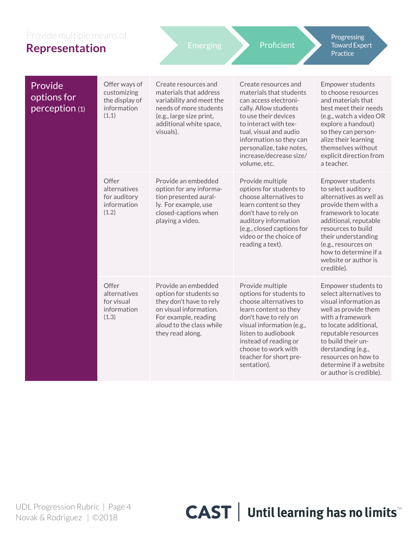### Provide multiple means of Representation Emerging Proficient

Progressing Toward Expert Practice

| Provide<br>options for<br>perception (1) | Offer ways of<br>customizing<br>the display of<br>information<br>(1.1) | Create resources and<br>materials that address<br>variability and meet the<br>needs of more students<br>(e.g., large size print,<br>additional white space,<br>visuals).   | Create resources and<br>materials that students<br>can access electroni-<br>cally. Allow students<br>to use their devices<br>to interact with tex-<br>tual, visual and audio<br>information so they can<br>personalize, take notes,<br>increase/decrease size/<br>volume, etc. | <b>Empower students</b><br>to choose resources<br>and materials that<br>best meet their needs<br>(e.g., watch a video OR<br>explore a handout)<br>so they can person-<br>alize their learning<br>themselves without<br>explicit direction from<br>a teacher.                               |
|------------------------------------------|------------------------------------------------------------------------|----------------------------------------------------------------------------------------------------------------------------------------------------------------------------|--------------------------------------------------------------------------------------------------------------------------------------------------------------------------------------------------------------------------------------------------------------------------------|--------------------------------------------------------------------------------------------------------------------------------------------------------------------------------------------------------------------------------------------------------------------------------------------|
|                                          | Offer<br>alternatives<br>for auditory<br>information<br>(1.2)          | Provide an embedded<br>option for any informa-<br>tion presented aural-<br>ly. For example, use<br>closed-captions when<br>playing a video.                                | Provide multiple<br>options for students to<br>choose alternatives to<br>learn content so they<br>don't have to rely on<br>auditory information<br>(e.g., closed captions for<br>video or the choice of<br>reading a text).                                                    | <b>Empower students</b><br>to select auditory<br>alternatives as well as<br>provide them with a<br>framework to locate<br>additional, reputable<br>resources to build<br>their understanding<br>(e.g., resources on<br>how to determine if a<br>website or author is<br>credible).         |
|                                          | Offer<br>alternatives<br>for visual<br>information<br>(1.3)            | Provide an embedded<br>option for students so<br>they don't have to rely<br>on visual information.<br>For example, reading<br>aloud to the class while<br>they read along. | Provide multiple<br>options for students to<br>choose alternatives to<br>learn content so they<br>don't have to rely on<br>visual information (e.g.,<br>listen to audiobook<br>instead of reading or<br>choose to work with<br>teacher for short pre-<br>sentation).           | Empower students to<br>select alternatives to<br>visual information as<br>well as provide them<br>with a framework<br>to locate additional,<br>reputable resources<br>to build their un-<br>derstanding (e.g.,<br>resources on how to<br>determine if a website<br>or author is credible). |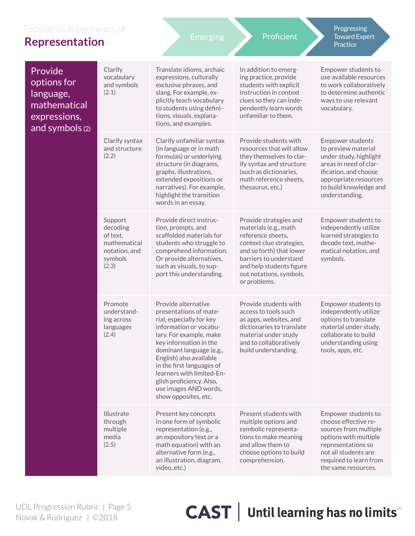#### Provide multiple means of **Representation**

Emerging **Proficient** 

Progressing Toward Expert Practice

| Provide<br>options for<br>language,<br>mathematical<br>expressions,<br>and symbols $(2)$ | Clarify<br>vocabulary<br>and symbols<br>(2.1)                                        | Translate idioms, archaic<br>expressions, culturally<br>exclusive phrases, and<br>slang. For example, ex-<br>plicitly teach vocabulary<br>to students using defini-<br>tions, visuals, explana-<br>tions, and examples.                                                                                                                                | In addition to emerg-<br>ing practice, provide<br>students with explicit<br>instruction in context<br>clues so they can inde-<br>pendently learn words<br>unfamiliar to them.                                                 | Empower students to<br>use available resources<br>to work collaboratively<br>to determine authentic<br>ways to use relevant<br>vocabulary.                                                   |
|------------------------------------------------------------------------------------------|--------------------------------------------------------------------------------------|--------------------------------------------------------------------------------------------------------------------------------------------------------------------------------------------------------------------------------------------------------------------------------------------------------------------------------------------------------|-------------------------------------------------------------------------------------------------------------------------------------------------------------------------------------------------------------------------------|----------------------------------------------------------------------------------------------------------------------------------------------------------------------------------------------|
|                                                                                          | Clarify syntax<br>and structure<br>(2.2)                                             | Clarify unfamiliar syntax<br>(in language or in math<br>formulas) or underlying<br>structure (in diagrams,<br>graphs, illustrations,<br>extended expositions or<br>narratives). For example,<br>highlight the transition<br>words in an essay.                                                                                                         | Provide students with<br>resources that will allow<br>they themselves to clar-<br>ify syntax and structure<br>(such as dictionaries,<br>math reference sheets,<br>thesaurus, etc.)                                            | Empower students<br>to preview material<br>under study, highlight<br>areas in need of clar-<br>ification, and choose<br>appropriate resources<br>to build knowledge and<br>understanding.    |
|                                                                                          | Support<br>decoding<br>of text.<br>mathematical<br>notation, and<br>symbols<br>(2.3) | Provide direct instruc-<br>tion, prompts, and<br>scaffolded materials for<br>students who struggle to<br>comprehend information.<br>Or provide alternatives,<br>such as visuals, to sup-<br>port this understanding.                                                                                                                                   | Provide strategies and<br>materials (e.g., math<br>reference sheets,<br>context clue strategies,<br>and so forth) that lower<br>barriers to understand<br>and help students figure<br>out notations, symbols,<br>or problems. | Empower students to<br>independently utilize<br>learned strategies to<br>decode text, mathe-<br>matical notation, and<br>symbols.                                                            |
|                                                                                          | Promote<br>understand-<br>ing across<br>languages<br>(2.4)                           | Provide alternative<br>presentations of mate-<br>rial, especially for key<br>information or vocabu-<br>lary. For example, make<br>key information in the<br>dominant language (e.g.,<br>English) also available<br>in the first languages of<br>learners with limited-En-<br>glish proficiency. Also,<br>use images AND words,<br>show opposites, etc. | Provide students with<br>access to tools such<br>as apps, websites, and<br>dictionaries to translate<br>material under study<br>and to collaboratively<br>build understanding.                                                | Empower students to<br>independently utilize<br>options to translate<br>material under study,<br>collaborate to build<br>understanding using<br>tools, apps, etc.                            |
|                                                                                          | Illustrate<br>through<br>multiple<br>media<br>(2.5)                                  | Present key concepts<br>in one form of symbolic<br>representation (e.g.,<br>an expository text or a<br>math equation) with an<br>alternative form (e.g.,<br>an illustration, diagram,<br>video, etc.)                                                                                                                                                  | Present students with<br>multiple options and<br>symbolic representa-<br>tions to make meaning<br>and allow them to<br>choose options to build<br>comprehension.                                                              | Empower students to<br>choose effective re-<br>sources from multiple<br>options with multiple<br>representations so<br>not all students are<br>required to learn from<br>the same resources. |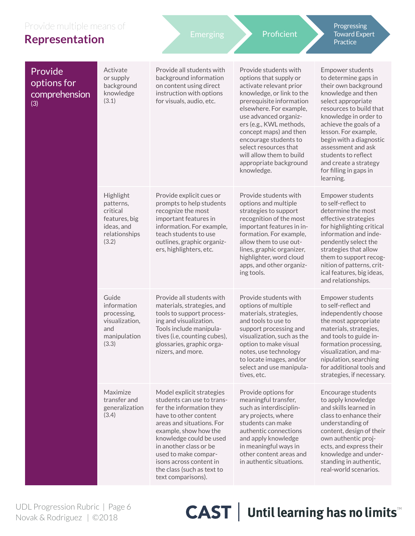#### Provide multiple means of

### Representation Emerging Proficient

Progressing Toward Expert Practice

| Provide<br>options for<br>comprehension<br>(3) | Activate<br>or supply<br>background<br>knowledge<br>(3.1)                                   | Provide all students with<br>background information<br>on content using direct<br>instruction with options<br>for visuals, audio, etc.                                                                                                                                                                                         | Provide students with<br>options that supply or<br>activate relevant prior<br>knowledge, or link to the<br>prerequisite information<br>elsewhere. For example,<br>use advanced organiz-<br>ers (e.g., KWL methods,<br>concept maps) and then<br>encourage students to<br>select resources that<br>will allow them to build<br>appropriate background<br>knowledge. | <b>Empower students</b><br>to determine gaps in<br>their own background<br>knowledge and then<br>select appropriate<br>resources to build that<br>knowledge in order to<br>achieve the goals of a<br>lesson. For example,<br>begin with a diagnostic<br>assessment and ask<br>students to reflect<br>and create a strategy<br>for filling in gaps in<br>learning. |
|------------------------------------------------|---------------------------------------------------------------------------------------------|--------------------------------------------------------------------------------------------------------------------------------------------------------------------------------------------------------------------------------------------------------------------------------------------------------------------------------|--------------------------------------------------------------------------------------------------------------------------------------------------------------------------------------------------------------------------------------------------------------------------------------------------------------------------------------------------------------------|-------------------------------------------------------------------------------------------------------------------------------------------------------------------------------------------------------------------------------------------------------------------------------------------------------------------------------------------------------------------|
|                                                | Highlight<br>patterns,<br>critical<br>features, big<br>ideas, and<br>relationships<br>(3.2) | Provide explicit cues or<br>prompts to help students<br>recognize the most<br>important features in<br>information. For example,<br>teach students to use<br>outlines, graphic organiz-<br>ers, highlighters, etc.                                                                                                             | Provide students with<br>options and multiple<br>strategies to support<br>recognition of the most<br>important features in in-<br>formation. For example,<br>allow them to use out-<br>lines, graphic organizer,<br>highlighter, word cloud<br>apps, and other organiz-<br>ing tools.                                                                              | <b>Empower students</b><br>to self-reflect to<br>determine the most<br>effective strategies<br>for highlighting critical<br>information and inde-<br>pendently select the<br>strategies that allow<br>them to support recog-<br>nition of patterns, crit-<br>ical features, big ideas,<br>and relationships.                                                      |
|                                                | Guide<br>information<br>processing,<br>visualization,<br>and<br>manipulation<br>(3.3)       | Provide all students with<br>materials, strategies, and<br>tools to support process-<br>ing and visualization.<br>Tools include manipula-<br>tives (i.e, counting cubes),<br>glossaries, graphic orga-<br>nizers, and more.                                                                                                    | Provide students with<br>options of multiple<br>materials, strategies,<br>and tools to use to<br>support processing and<br>visualization, such as the<br>option to make visual<br>notes, use technology<br>to locate images, and/or<br>select and use manipula-<br>tives, etc.                                                                                     | <b>Empower students</b><br>to self-reflect and<br>independently choose<br>the most appropriate<br>materials, strategies,<br>and tools to guide in-<br>formation processing,<br>visualization, and ma-<br>nipulation, searching<br>for additional tools and<br>strategies, if necessary.                                                                           |
|                                                | Maximize<br>transfer and<br>generalization<br>(3.4)                                         | Model explicit strategies<br>students can use to trans-<br>fer the information they<br>have to other content<br>areas and situations. For<br>example, show how the<br>knowledge could be used<br>in another class or be<br>used to make compar-<br>isons across content in<br>the class (such as text to<br>text comparisons). | Provide options for<br>meaningful transfer,<br>such as interdisciplin-<br>ary projects, where<br>students can make<br>authentic connections<br>and apply knowledge<br>in meaningful ways in<br>other content areas and<br>in authentic situations.                                                                                                                 | Encourage students<br>to apply knowledge<br>and skills learned in<br>class to enhance their<br>understanding of<br>content, design of their<br>own authentic proj-<br>ects, and express their<br>knowledge and under-<br>standing in authentic,<br>real-world scenarios.                                                                                          |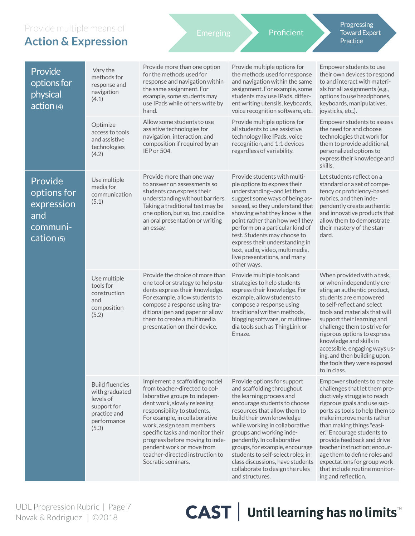Provide multiple means of **Action & Expression** Emerging Proficient

**Progressing** Toward Expert Practice

| Provide<br>options for<br>physical<br>action (4)                      | Vary the<br>methods for<br>response and<br>navigation<br>(4.1)                                               | Provide more than one option<br>for the methods used for<br>response and navigation within<br>the same assignment. For<br>example, some students may<br>use IPads while others write by<br>hand.                                                                                                                                                                                         | Provide multiple options for<br>the methods used for response<br>and navigation within the same<br>assignment. For example, some<br>students may use IPads, differ-<br>ent writing utensils, keyboards,<br>voice recognition software, etc.                                                                                                                                                                                                      | Empower students to use<br>their own devices to respond<br>to and interact with materi-<br>als for all assignments (e.g.,<br>options to use headphones,<br>keyboards, manipulatives,<br>joysticks, etc.).                                                                                                                                                                                                                               |
|-----------------------------------------------------------------------|--------------------------------------------------------------------------------------------------------------|------------------------------------------------------------------------------------------------------------------------------------------------------------------------------------------------------------------------------------------------------------------------------------------------------------------------------------------------------------------------------------------|--------------------------------------------------------------------------------------------------------------------------------------------------------------------------------------------------------------------------------------------------------------------------------------------------------------------------------------------------------------------------------------------------------------------------------------------------|-----------------------------------------------------------------------------------------------------------------------------------------------------------------------------------------------------------------------------------------------------------------------------------------------------------------------------------------------------------------------------------------------------------------------------------------|
|                                                                       | Optimize<br>access to tools<br>and assistive<br>technologies<br>(4.2)                                        | Allow some students to use<br>assistive technologies for<br>navigation, interaction, and<br>composition if required by an<br>IEP or 504.                                                                                                                                                                                                                                                 | Provide multiple options for<br>all students to use assistive<br>technology like IPads, voice<br>recognition, and 1:1 devices<br>regardless of variability.                                                                                                                                                                                                                                                                                      | Empower students to assess<br>the need for and choose<br>technologies that work for<br>them to provide additional,<br>personalized options to<br>express their knowledge and<br>skills.                                                                                                                                                                                                                                                 |
| Provide<br>options for<br>expression<br>and<br>communi-<br>cation (5) | Use multiple<br>media for<br>communication<br>(5.1)                                                          | Provide more than one way<br>to answer on assessments so<br>students can express their<br>understanding without barriers.<br>Taking a traditional test may be<br>one option, but so, too, could be<br>an oral presentation or writing<br>an essay.                                                                                                                                       | Provide students with multi-<br>ple options to express their<br>understanding--and let them<br>suggest some ways of being as-<br>sessed, so they understand that<br>showing what they know is the<br>point rather than how well they<br>perform on a particular kind of<br>test. Students may choose to<br>express their understanding in<br>text, audio, video, multimedia,<br>live presentations, and many<br>other ways.                      | Let students reflect on a<br>standard or a set of compe-<br>tency or proficiency-based<br>rubrics, and then inde-<br>pendently create authentic<br>and innovative products that<br>allow them to demonstrate<br>their mastery of the stan-<br>dard.                                                                                                                                                                                     |
|                                                                       | Use multiple<br>tools for<br>construction<br>and<br>composition<br>(5.2)                                     | Provide the choice of more than<br>one tool or strategy to help stu-<br>dents express their knowledge.<br>For example, allow students to<br>compose a response using tra-<br>ditional pen and paper or allow<br>them to create a multimedia<br>presentation on their device.                                                                                                             | Provide multiple tools and<br>strategies to help students<br>express their knowledge. For<br>example, allow students to<br>compose a response using<br>traditional written methods,<br>blogging software, or multime-<br>dia tools such as ThingLink or<br>Emaze.                                                                                                                                                                                | When provided with a task,<br>or when independently cre-<br>ating an authentic product,<br>students are empowered<br>to self-reflect and select<br>tools and materials that will<br>support their learning and<br>challenge them to strive for<br>rigorous options to express<br>knowledge and skills in<br>accessible, engaging ways us-<br>ing, and then building upon,<br>the tools they were exposed<br>to in class.                |
|                                                                       | <b>Build fluencies</b><br>with graduated<br>levels of<br>support for<br>practice and<br>performance<br>(5.3) | Implement a scaffolding model<br>from teacher-directed to col-<br>laborative groups to indepen-<br>dent work, slowly releasing<br>responsibility to students.<br>For example, in collaborative<br>work, assign team members<br>specific tasks and monitor their<br>progress before moving to inde-<br>pendent work or move from<br>teacher-directed instruction to<br>Socratic seminars. | Provide options for support<br>and scaffolding throughout<br>the learning process and<br>encourage students to choose<br>resources that allow them to<br>build their own knowledge<br>while working in collaborative<br>groups and working inde-<br>pendently. In collaborative<br>groups, for example, encourage<br>students to self-select roles; in<br>class discussions, have students<br>collaborate to design the rules<br>and structures. | Empower students to create<br>challenges that let them pro-<br>ductively struggle to reach<br>rigorous goals and use sup-<br>ports as tools to help them to<br>make improvements rather<br>than making things "easi-<br>er." Encourage students to<br>provide feedback and drive<br>teacher instruction; encour-<br>age them to define roles and<br>expectations for group work<br>that include routine monitor-<br>ing and reflection. |